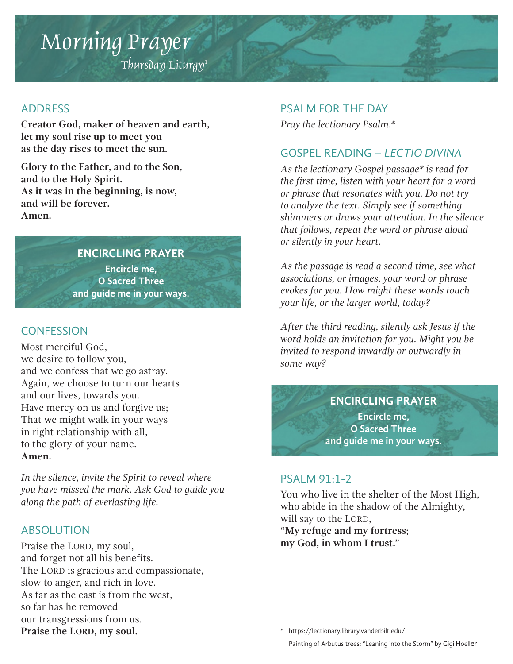# Morning Prayer

 $T$ hursday Liturgy<sup>1</sup>

#### ADDRESS

**Creator God, maker of heaven and earth, let my soul rise up to meet you as the day rises to meet the sun.**

**Glory to the Father, and to the Son, and to the Holy Spirit. As it was in the beginning, is now, and will be forever. Amen.**

## **ENCIRCLING PRAYER**

**Encircle me, O Sacred Three and guide me in your ways.**

## **CONFESSION**

Most merciful God, we desire to follow you, and we confess that we go astray. Again, we choose to turn our hearts and our lives, towards you. Have mercy on us and forgive us; That we might walk in your ways in right relationship with all, to the glory of your name. **Amen.**

*In the silence, invite the Spirit to reveal where you have missed the mark. Ask God to guide you along the path of everlasting life.* 

## ABSOLUTION

Praise the LORD, my soul, and forget not all his benefits. The LORD is gracious and compassionate, slow to anger, and rich in love. As far as the east is from the west, so far has he removed our transgressions from us. **Praise the LORD, my soul.**

#### PSALM FOR THE DAY

*Pray the lectionary Psalm.\**

## GOSPEL READING – *LECTIO DIVINA*

*As the lectionary Gospel passage\* is read for the first time, listen with your heart for a word or phrase that resonates with you. Do not try to analyze the text. Simply see if something shimmers or draws your attention. In the silence that follows, repeat the word or phrase aloud or silently in your heart.* 

*As the passage is read a second time, see what associations, or images, your word or phrase evokes for you. How might these words touch your life, or the larger world, today?*

*After the third reading, silently ask Jesus if the word holds an invitation for you. Might you be invited to respond inwardly or outwardly in some way?*

> **ENCIRCLING PRAYER Encircle me, O Sacred Three and guide me in your ways.**

#### PSALM 91:1-2

You who live in the shelter of the Most High, who abide in the shadow of the Almighty, will say to the LORD,

**"My refuge and my fortress; my God, in whom I trust."** 

\* https://lectionary.library.vanderbilt.edu/